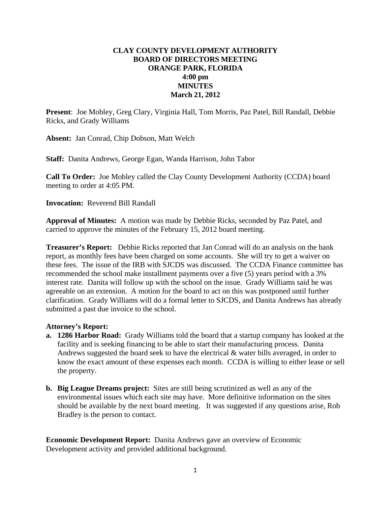## **CLAY COUNTY DEVELOPMENT AUTHORITY BOARD OF DIRECTORS MEETING ORANGE PARK, FLORIDA 4:00 pm MINUTES March 21, 2012**

**Present**: Joe Mobley, Greg Clary, Virginia Hall, Tom Morris, Paz Patel, Bill Randall, Debbie Ricks, and Grady Williams

**Absent:** Jan Conrad, Chip Dobson, Matt Welch

**Staff:** Danita Andrews, George Egan, Wanda Harrison, John Tabor

**Call To Order:** Joe Mobley called the Clay County Development Authority (CCDA) board meeting to order at 4:05 PM.

**Invocation:** Reverend Bill Randall

**Approval of Minutes:** A motion was made by Debbie Ricks, seconded by Paz Patel, and carried to approve the minutes of the February 15, 2012 board meeting.

**Treasurer's Report:** Debbie Ricks reported that Jan Conrad will do an analysis on the bank report, as monthly fees have been charged on some accounts. She will try to get a waiver on these fees. The issue of the IRB with SJCDS was discussed. The CCDA Finance committee has recommended the school make installment payments over a five (5) years period with a 3% interest rate. Danita will follow up with the school on the issue. Grady Williams said he was agreeable on an extension. A motion for the board to act on this was postponed until further clarification. Grady Williams will do a formal letter to SJCDS, and Danita Andrews has already submitted a past due invoice to the school.

## **Attorney's Report:**

- **a. 1286 Harbor Road:** Grady Williams told the board that a startup company has looked at the facility and is seeking financing to be able to start their manufacturing process. Danita Andrews suggested the board seek to have the electrical & water bills averaged, in order to know the exact amount of these expenses each month. CCDA is willing to either lease or sell the property.
- **b. Big League Dreams project:** Sites are still being scrutinized as well as any of the environmental issues which each site may have. More definitive information on the sites should be available by the next board meeting. It was suggested if any questions arise, Rob Bradley is the person to contact.

**Economic Development Report:** Danita Andrews gave an overview of Economic Development activity and provided additional background.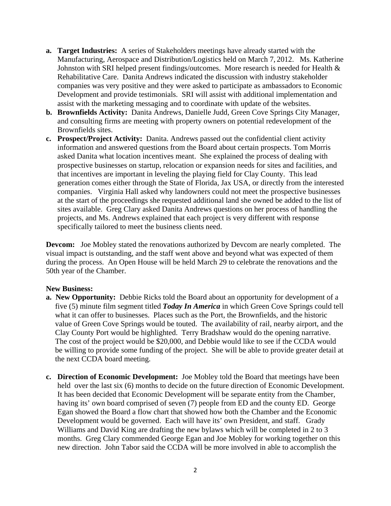- **a. Target Industries:** A series of Stakeholders meetings have already started with the Manufacturing, Aerospace and Distribution/Logistics held on March 7, 2012. Ms. Katherine Johnston with SRI helped present findings/outcomes. More research is needed for Health & Rehabilitative Care. Danita Andrews indicated the discussion with industry stakeholder companies was very positive and they were asked to participate as ambassadors to Economic Development and provide testimonials. SRI will assist with additional implementation and assist with the marketing messaging and to coordinate with update of the websites.
- **b. Brownfields Activity:** Danita Andrews, Danielle Judd, Green Cove Springs City Manager, and consulting firms are meeting with property owners on potential redevelopment of the Brownfields sites.
- **c. Prospect/Project Activity:** Danita. Andrews passed out the confidential client activity information and answered questions from the Board about certain prospects. Tom Morris asked Danita what location incentives meant. She explained the process of dealing with prospective businesses on startup, relocation or expansion needs for sites and facilities, and that incentives are important in leveling the playing field for Clay County. This lead generation comes either through the State of Florida, Jax USA, or directly from the interested companies. Virginia Hall asked why landowners could not meet the prospective businesses at the start of the proceedings she requested additional land she owned be added to the list of sites available. Greg Clary asked Danita Andrews questions on her process of handling the projects, and Ms. Andrews explained that each project is very different with response specifically tailored to meet the business clients need.

**Devcom:** Joe Mobley stated the renovations authorized by Devcom are nearly completed. The visual impact is outstanding, and the staff went above and beyond what was expected of them during the process. An Open House will be held March 29 to celebrate the renovations and the 50th year of the Chamber.

## **New Business:**

- **a. New Opportunity:** Debbie Ricks told the Board about an opportunity for development of a five (5) minute film segment titled *Today In America* in which Green Cove Springs could tell what it can offer to businesses. Places such as the Port, the Brownfields, and the historic value of Green Cove Springs would be touted. The availability of rail, nearby airport, and the Clay County Port would be highlighted. Terry Bradshaw would do the opening narrative. The cost of the project would be \$20,000, and Debbie would like to see if the CCDA would be willing to provide some funding of the project. She will be able to provide greater detail at the next CCDA board meeting.
- **c. Direction of Economic Development:** Joe Mobley told the Board that meetings have been held over the last six (6) months to decide on the future direction of Economic Development. It has been decided that Economic Development will be separate entity from the Chamber, having its' own board comprised of seven (7) people from ED and the county ED. George Egan showed the Board a flow chart that showed how both the Chamber and the Economic Development would be governed. Each will have its' own President, and staff. Grady Williams and David King are drafting the new bylaws which will be completed in 2 to 3 months. Greg Clary commended George Egan and Joe Mobley for working together on this new direction. John Tabor said the CCDA will be more involved in able to accomplish the